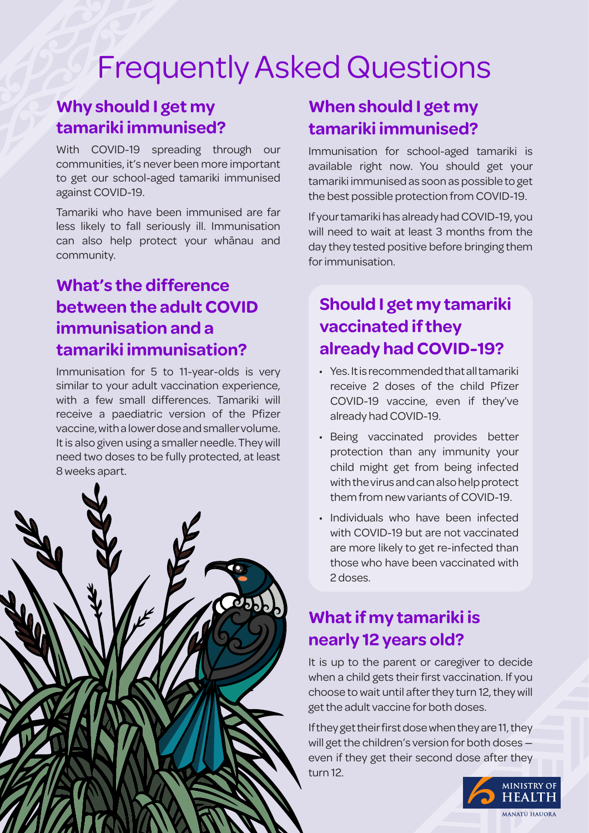# Frequently Asked Questions

#### **Why should I get my tamariki immunised?**

With COVID-19 spreading through our communities, it's never been more important to get our school-aged tamariki immunised against COVID-19.

Tamariki who have been immunised are far less likely to fall seriously ill. Immunisation can also help protect your whānau and community.

## **What's the difference between the adult COVID immunisation and a tamariki immunisation?**

Immunisation for 5 to 11-year-olds is very similar to your adult vaccination experience, with a few small differences. Tamariki will receive a paediatric version of the Pfizer vaccine, with a lower dose and smaller volume. It is also given using a smaller needle. They will need two doses to be fully protected, at least 8 weeks apart.



## **When should I get my tamariki immunised?**

Immunisation for school-aged tamariki is available right now. You should get your tamariki immunised as soon as possible to get the best possible protection from COVID-19.

If your tamariki has already had COVID-19, you will need to wait at least 3 months from the day they tested positive before bringing them for immunisation.

# **Should I get my tamariki vaccinated if they already had COVID-19?**

- Yes. It is recommended that all tamariki receive 2 doses of the child Pfizer COVID-19 vaccine, even if they've already had COVID-19.
- Being vaccinated provides better protection than any immunity your child might get from being infected with the virus and can also help protect them from new variants of COVID-19.
- Individuals who have been infected with COVID-19 but are not vaccinated are more likely to get re-infected than those who have been vaccinated with 2 doses.

# **What if my tamariki is nearly 12 years old?**

It is up to the parent or caregiver to decide when a child gets their first vaccination. If you choose to wait until after they turn 12, they will get the adult vaccine for both doses.

If they get their first dose when they are 11, they will get the children's version for both doses even if they get their second dose after they turn 12.

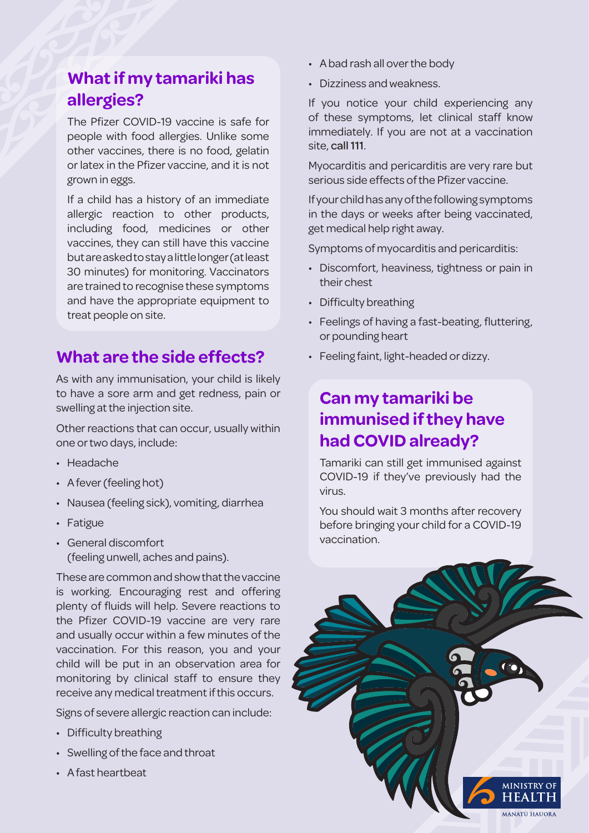## **What if my tamariki has allergies?**

The Pfizer COVID-19 vaccine is safe for people with food allergies. Unlike some other vaccines, there is no food, gelatin or latex in the Pfizer vaccine, and it is not grown in eggs.

If a child has a history of an immediate allergic reaction to other products, including food, medicines or other vaccines, they can still have this vaccine but are asked to stay a little longer (at least 30 minutes) for monitoring. Vaccinators are trained to recognise these symptoms and have the appropriate equipment to treat people on site.

#### **What are the side effects?**

As with any immunisation, your child is likely to have a sore arm and get redness, pain or swelling at the injection site.

Other reactions that can occur, usually within one or two days, include:

- Headache
- A fever (feeling hot)
- Nausea (feeling sick), vomiting, diarrhea
- Fatigue
- General discomfort (feeling unwell, aches and pains).

These are common and show that the vaccine is working. Encouraging rest and offering plenty of fluids will help. Severe reactions to the Pfizer COVID-19 vaccine are very rare and usually occur within a few minutes of the vaccination. For this reason, you and your child will be put in an observation area for monitoring by clinical staff to ensure they receive any medical treatment if this occurs.

Signs of severe allergic reaction can include:

- Difficulty breathing
- Swelling of the face and throat
- A fast heartbeat
- A bad rash all over the body
- Dizziness and weakness.

If you notice your child experiencing any of these symptoms, let clinical staff know immediately. If you are not at a vaccination site, call 111.

Myocarditis and pericarditis are very rare but serious side effects of the Pfizer vaccine.

If your child has any of the following symptoms in the days or weeks after being vaccinated, get medical help right away.

Symptoms of myocarditis and pericarditis:

- Discomfort, heaviness, tightness or pain in their chest
- Difficulty breathing
- Feelings of having a fast-beating, fluttering, or pounding heart
- Feeling faint, light-headed or dizzy.

### **Can my tamariki be immunised if they have had COVID already?**

Tamariki can still get immunised against COVID-19 if they've previously had the virus.

You should wait 3 months after recovery before bringing your child for a COVID-19 vaccination.